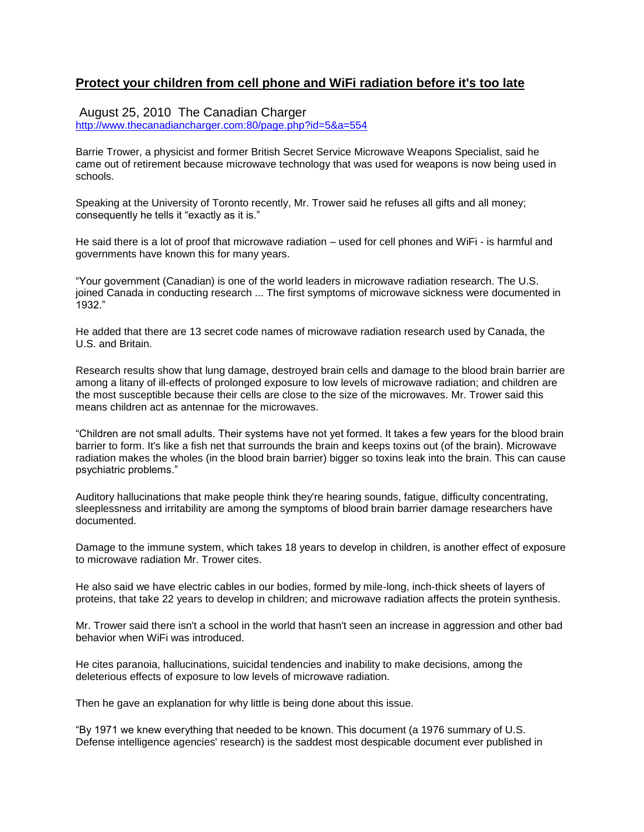### **Protect your children from cell phone and WiFi radiation before it's too late**

#### August 25, 2010 The Canadian Charger

[http://www.thecanadiancharger.com:80/page.php?id=5&a=554](http://www.thecanadiancharger.com/page.php?id=5&a=554)

Barrie Trower, a physicist and former British Secret Service Microwave Weapons Specialist, said he came out of retirement because microwave technology that was used for weapons is now being used in schools.

Speaking at the University of Toronto recently, Mr. Trower said he refuses all gifts and all money; consequently he tells it "exactly as it is."

He said there is a lot of proof that microwave radiation – used for cell phones and WiFi - is harmful and governments have known this for many years.

"Your government (Canadian) is one of the world leaders in microwave radiation research. The U.S. joined Canada in conducting research ... The first symptoms of microwave sickness were documented in 1932."

He added that there are 13 secret code names of microwave radiation research used by Canada, the U.S. and Britain.

Research results show that lung damage, destroyed brain cells and damage to the blood brain barrier are among a litany of ill-effects of prolonged exposure to low levels of microwave radiation; and children are the most susceptible because their cells are close to the size of the microwaves. Mr. Trower said this means children act as antennae for the microwaves.

"Children are not small adults. Their systems have not yet formed. It takes a few years for the blood brain barrier to form. It's like a fish net that surrounds the brain and keeps toxins out (of the brain). Microwave radiation makes the wholes (in the blood brain barrier) bigger so toxins leak into the brain. This can cause psychiatric problems."

Auditory hallucinations that make people think they're hearing sounds, fatigue, difficulty concentrating, sleeplessness and irritability are among the symptoms of blood brain barrier damage researchers have documented.

Damage to the immune system, which takes 18 years to develop in children, is another effect of exposure to microwave radiation Mr. Trower cites.

He also said we have electric cables in our bodies, formed by mile-long, inch-thick sheets of layers of proteins, that take 22 years to develop in children; and microwave radiation affects the protein synthesis.

Mr. Trower said there isn't a school in the world that hasn't seen an increase in aggression and other bad behavior when WiFi was introduced.

He cites paranoia, hallucinations, suicidal tendencies and inability to make decisions, among the deleterious effects of exposure to low levels of microwave radiation.

Then he gave an explanation for why little is being done about this issue.

"By 1971 we knew everything that needed to be known. This document (a 1976 summary of U.S. Defense intelligence agencies' research) is the saddest most despicable document ever published in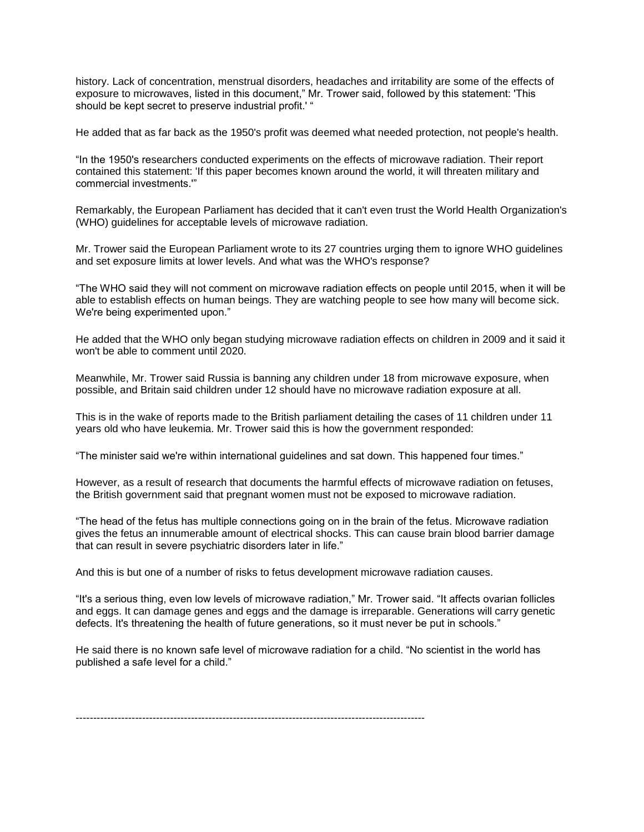history. Lack of concentration, menstrual disorders, headaches and irritability are some of the effects of exposure to microwaves, listed in this document," Mr. Trower said, followed by this statement: 'This should be kept secret to preserve industrial profit.' "

He added that as far back as the 1950's profit was deemed what needed protection, not people's health.

"In the 1950's researchers conducted experiments on the effects of microwave radiation. Their report contained this statement: 'If this paper becomes known around the world, it will threaten military and commercial investments.'"

Remarkably, the European Parliament has decided that it can't even trust the World Health Organization's (WHO) guidelines for acceptable levels of microwave radiation.

Mr. Trower said the European Parliament wrote to its 27 countries urging them to ignore WHO guidelines and set exposure limits at lower levels. And what was the WHO's response?

"The WHO said they will not comment on microwave radiation effects on people until 2015, when it will be able to establish effects on human beings. They are watching people to see how many will become sick. We're being experimented upon."

He added that the WHO only began studying microwave radiation effects on children in 2009 and it said it won't be able to comment until 2020.

Meanwhile, Mr. Trower said Russia is banning any children under 18 from microwave exposure, when possible, and Britain said children under 12 should have no microwave radiation exposure at all.

This is in the wake of reports made to the British parliament detailing the cases of 11 children under 11 years old who have leukemia. Mr. Trower said this is how the government responded:

"The minister said we're within international guidelines and sat down. This happened four times."

However, as a result of research that documents the harmful effects of microwave radiation on fetuses, the British government said that pregnant women must not be exposed to microwave radiation.

"The head of the fetus has multiple connections going on in the brain of the fetus. Microwave radiation gives the fetus an innumerable amount of electrical shocks. This can cause brain blood barrier damage that can result in severe psychiatric disorders later in life."

And this is but one of a number of risks to fetus development microwave radiation causes.

"It's a serious thing, even low levels of microwave radiation," Mr. Trower said. "It affects ovarian follicles and eggs. It can damage genes and eggs and the damage is irreparable. Generations will carry genetic defects. It's threatening the health of future generations, so it must never be put in schools."

He said there is no known safe level of microwave radiation for a child. "No scientist in the world has published a safe level for a child."

----------------------------------------------------------------------------------------------------